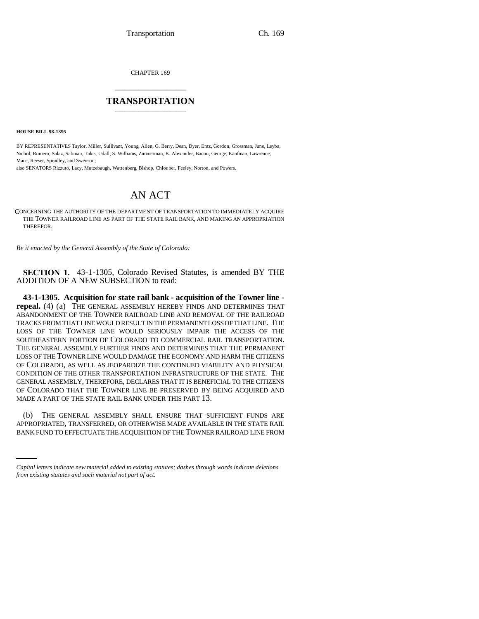CHAPTER 169 \_\_\_\_\_\_\_\_\_\_\_\_\_\_\_

## **TRANSPORTATION** \_\_\_\_\_\_\_\_\_\_\_\_\_\_\_

**HOUSE BILL 98-1395**

BY REPRESENTATIVES Taylor, Miller, Sullivant, Young, Allen, G. Berry, Dean, Dyer, Entz, Gordon, Grossman, June, Leyba, Nichol, Romero, Salaz, Saliman, Takis, Udall, S. Williams, Zimmerman, K. Alexander, Bacon, George, Kaufman, Lawrence, Mace, Reeser, Spradley, and Swenson;

also SENATORS Rizzuto, Lacy, Mutzebaugh, Wattenberg, Bishop, Chlouber, Feeley, Norton, and Powers.

## AN ACT

CONCERNING THE AUTHORITY OF THE DEPARTMENT OF TRANSPORTATION TO IMMEDIATELY ACQUIRE THE TOWNER RAILROAD LINE AS PART OF THE STATE RAIL BANK, AND MAKING AN APPROPRIATION THEREFOR.

*Be it enacted by the General Assembly of the State of Colorado:*

**SECTION 1.** 43-1-1305, Colorado Revised Statutes, is amended BY THE ADDITION OF A NEW SUBSECTION to read:

**43-1-1305. Acquisition for state rail bank - acquisition of the Towner line repeal.** (4) (a) THE GENERAL ASSEMBLY HEREBY FINDS AND DETERMINES THAT ABANDONMENT OF THE TOWNER RAILROAD LINE AND REMOVAL OF THE RAILROAD TRACKS FROM THAT LINE WOULD RESULT IN THE PERMANENT LOSS OF THAT LINE. THE LOSS OF THE TOWNER LINE WOULD SERIOUSLY IMPAIR THE ACCESS OF THE SOUTHEASTERN PORTION OF COLORADO TO COMMERCIAL RAIL TRANSPORTATION. THE GENERAL ASSEMBLY FURTHER FINDS AND DETERMINES THAT THE PERMANENT LOSS OF THE TOWNER LINE WOULD DAMAGE THE ECONOMY AND HARM THE CITIZENS OF COLORADO, AS WELL AS JEOPARDIZE THE CONTINUED VIABILITY AND PHYSICAL CONDITION OF THE OTHER TRANSPORTATION INFRASTRUCTURE OF THE STATE. THE GENERAL ASSEMBLY, THEREFORE, DECLARES THAT IT IS BENEFICIAL TO THE CITIZENS OF COLORADO THAT THE TOWNER LINE BE PRESERVED BY BEING ACQUIRED AND MADE A PART OF THE STATE RAIL BANK UNDER THIS PART 13.

(b) THE GENERAL ASSEMBLY SHALL ENSURE THAT SUFFICIENT FUNDS ARE<br>APPROPRIATED, TRANSFERRED, OR OTHERWISE MADE AVAILABLE IN THE STATE RAIL (b) THE GENERAL ASSEMBLY SHALL ENSURE THAT SUFFICIENT FUNDS ARE BANK FUND TO EFFECTUATE THE ACQUISITION OF THE TOWNER RAILROAD LINE FROM

*Capital letters indicate new material added to existing statutes; dashes through words indicate deletions from existing statutes and such material not part of act.*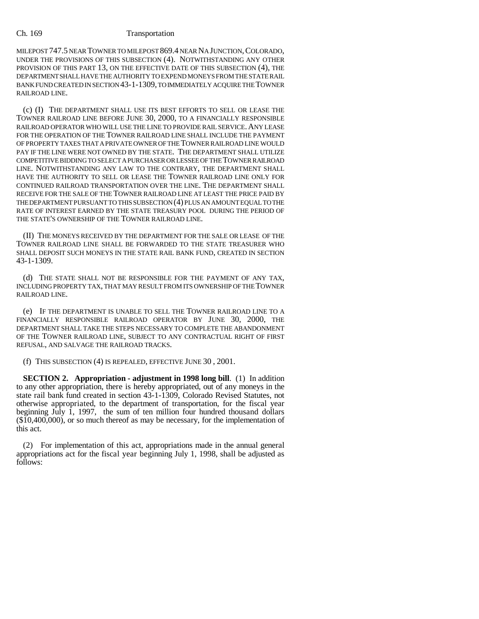## Ch. 169 Transportation

MILEPOST 747.5 NEAR TOWNER TO MILEPOST 869.4 NEAR NA JUNCTION,COLORADO, UNDER THE PROVISIONS OF THIS SUBSECTION (4). NOTWITHSTANDING ANY OTHER PROVISION OF THIS PART 13, ON THE EFFECTIVE DATE OF THIS SUBSECTION (4), THE DEPARTMENT SHALL HAVE THE AUTHORITY TO EXPEND MONEYS FROM THE STATE RAIL BANK FUND CREATED IN SECTION 43-1-1309, TO IMMEDIATELY ACQUIRE THE TOWNER RAILROAD LINE.

(c) (I) THE DEPARTMENT SHALL USE ITS BEST EFFORTS TO SELL OR LEASE THE TOWNER RAILROAD LINE BEFORE JUNE 30, 2000, TO A FINANCIALLY RESPONSIBLE RAILROAD OPERATOR WHO WILL USE THE LINE TO PROVIDE RAIL SERVICE.ANY LEASE FOR THE OPERATION OF THE TOWNER RAILROAD LINE SHALL INCLUDE THE PAYMENT OF PROPERTY TAXES THAT A PRIVATE OWNER OF THE TOWNER RAILROAD LINE WOULD PAY IF THE LINE WERE NOT OWNED BY THE STATE. THE DEPARTMENT SHALL UTILIZE COMPETITIVE BIDDING TO SELECT A PURCHASER OR LESSEE OF THE TOWNER RAILROAD LINE. NOTWITHSTANDING ANY LAW TO THE CONTRARY, THE DEPARTMENT SHALL HAVE THE AUTHORITY TO SELL OR LEASE THE TOWNER RAILROAD LINE ONLY FOR CONTINUED RAILROAD TRANSPORTATION OVER THE LINE. THE DEPARTMENT SHALL RECEIVE FOR THE SALE OF THE TOWNER RAILROAD LINE AT LEAST THE PRICE PAID BY THE DEPARTMENT PURSUANT TO THIS SUBSECTION (4) PLUS AN AMOUNT EQUAL TO THE RATE OF INTEREST EARNED BY THE STATE TREASURY POOL DURING THE PERIOD OF THE STATE'S OWNERSHIP OF THE TOWNER RAILROAD LINE.

(II) THE MONEYS RECEIVED BY THE DEPARTMENT FOR THE SALE OR LEASE OF THE TOWNER RAILROAD LINE SHALL BE FORWARDED TO THE STATE TREASURER WHO SHALL DEPOSIT SUCH MONEYS IN THE STATE RAIL BANK FUND, CREATED IN SECTION 43-1-1309.

(d) THE STATE SHALL NOT BE RESPONSIBLE FOR THE PAYMENT OF ANY TAX, INCLUDING PROPERTY TAX, THAT MAY RESULT FROM ITS OWNERSHIP OF THE TOWNER RAILROAD LINE.

(e) IF THE DEPARTMENT IS UNABLE TO SELL THE TOWNER RAILROAD LINE TO A FINANCIALLY RESPONSIBLE RAILROAD OPERATOR BY JUNE 30, 2000, THE DEPARTMENT SHALL TAKE THE STEPS NECESSARY TO COMPLETE THE ABANDONMENT OF THE TOWNER RAILROAD LINE, SUBJECT TO ANY CONTRACTUAL RIGHT OF FIRST REFUSAL, AND SALVAGE THE RAILROAD TRACKS.

(f) THIS SUBSECTION (4) IS REPEALED, EFFECTIVE JUNE 30 , 2001.

**SECTION 2. Appropriation - adjustment in 1998 long bill**. (1) In addition to any other appropriation, there is hereby appropriated, out of any moneys in the state rail bank fund created in section 43-1-1309, Colorado Revised Statutes, not otherwise appropriated, to the department of transportation, for the fiscal year beginning July 1, 1997, the sum of ten million four hundred thousand dollars (\$10,400,000), or so much thereof as may be necessary, for the implementation of this act.

(2) For implementation of this act, appropriations made in the annual general appropriations act for the fiscal year beginning July 1, 1998, shall be adjusted as follows: